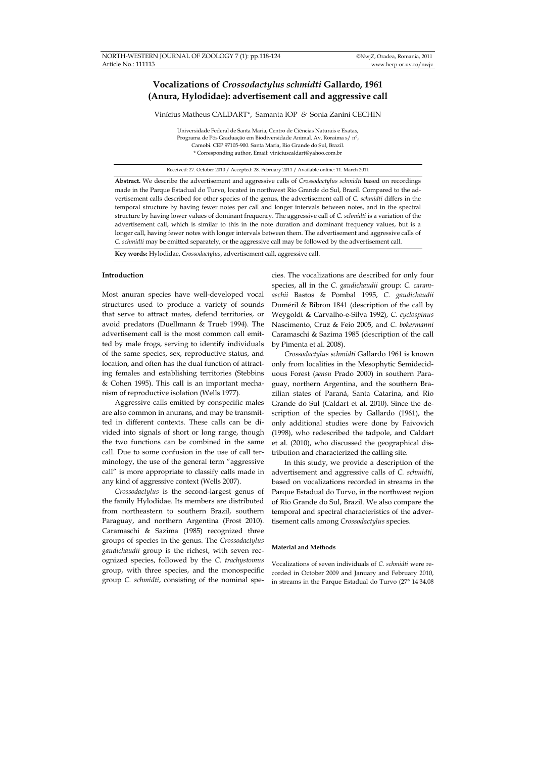# **Vocalizations of** *Crossodactylus schmidti* **Gallardo, 1961 (Anura, Hylodidae): advertisement call and aggressive call**

Vinícius Matheus CALDART\*, Samanta IOP *&* Sonia Zanini CECHIN

Universidade Federal de Santa Maria, Centro de Ciências Naturais e Exatas, Programa de Pós Graduação em Biodiversidade Animal. Av. Roraima s/ n°, Camobi. CEP 97105-900. Santa Maria, Rio Grande do Sul, Brazil. \* Corresponding author, Email: viniciuscaldart@yahoo.com.br

Received: 27. October 2010 / Accepted: 28. February 2011 / Available online: 11. March 2011

**Abstract.** We describe the advertisement and aggressive calls of *Crossodactylus schmidti* based on recordings made in the Parque Estadual do Turvo, located in northwest Rio Grande do Sul, Brazil. Compared to the advertisement calls described for other species of the genus, the advertisement call of *C. schmidti* differs in the temporal structure by having fewer notes per call and longer intervals between notes, and in the spectral structure by having lower values of dominant frequency. The aggressive call of *C. schmidti* is a variation of the advertisement call, which is similar to this in the note duration and dominant frequency values, but is a longer call, having fewer notes with longer intervals between them. The advertisement and aggressive calls of *C. schmidti* may be emitted separately, or the aggressive call may be followed by the advertisement call.

**Key words:** Hylodidae, *Crossodactylus*, advertisement call, aggressive call.

## **Introduction**

Most anuran species have well-developed vocal structures used to produce a variety of sounds that serve to attract mates, defend territories, or avoid predators (Duellmann & Trueb 1994). The advertisement call is the most common call emitted by male frogs, serving to identify individuals of the same species, sex, reproductive status, and location, and often has the dual function of attracting females and establishing territories (Stebbins & Cohen 1995). This call is an important mechanism of reproductive isolation (Wells 1977).

Aggressive calls emitted by conspecific males are also common in anurans, and may be transmitted in different contexts. These calls can be divided into signals of short or long range, though the two functions can be combined in the same call. Due to some confusion in the use of call terminology, the use of the general term "aggressive call" is more appropriate to classify calls made in any kind of aggressive context (Wells 2007).

*Crossodactylus* is the second-largest genus of the family Hylodidae. Its members are distributed from northeastern to southern Brazil, southern Paraguay, and northern Argentina (Frost 2010). Caramaschi & Sazima (1985) recognized three groups of species in the genus. The *Crossodactylus gaudichaudii* group is the richest, with seven recognized species, followed by the *C. trachystomus* group, with three species, and the monospecific group *C. schmidti*, consisting of the nominal species. The vocalizations are described for only four species, all in the *C. gaudichaudii* group: *C. caramaschii* Bastos & Pombal 1995, *C. gaudichaudii*  Duméril & Bibron 1841 (description of the call by Weygoldt & Carvalho-e-Silva 1992), *C. cyclospinus*  Nascimento, Cruz & Feio 2005, and *C. bokermanni*  Caramaschi & Sazima 1985 (description of the call by Pimenta et al. 2008).

*Crossodactylus schmidti* Gallardo 1961 is known only from localities in the Mesophytic Semideciduous Forest (*sensu* Prado 2000) in southern Paraguay, northern Argentina, and the southern Brazilian states of Paraná, Santa Catarina, and Rio Grande do Sul (Caldart et al. 2010). Since the description of the species by Gallardo (1961), the only additional studies were done by Faivovich (1998), who redescribed the tadpole, and Caldart et al. (2010), who discussed the geographical distribution and characterized the calling site.

In this study, we provide a description of the advertisement and aggressive calls of *C. schmidti*, based on vocalizations recorded in streams in the Parque Estadual do Turvo, in the northwest region of Rio Grande do Sul, Brazil. We also compare the temporal and spectral characteristics of the advertisement calls among *Crossodactylus* species.

## **Material and Methods**

Vocalizations of seven individuals of *C. schmidti* were recorded in October 2009 and January and February 2010, in streams in the Parque Estadual do Turvo (27° 14'34.08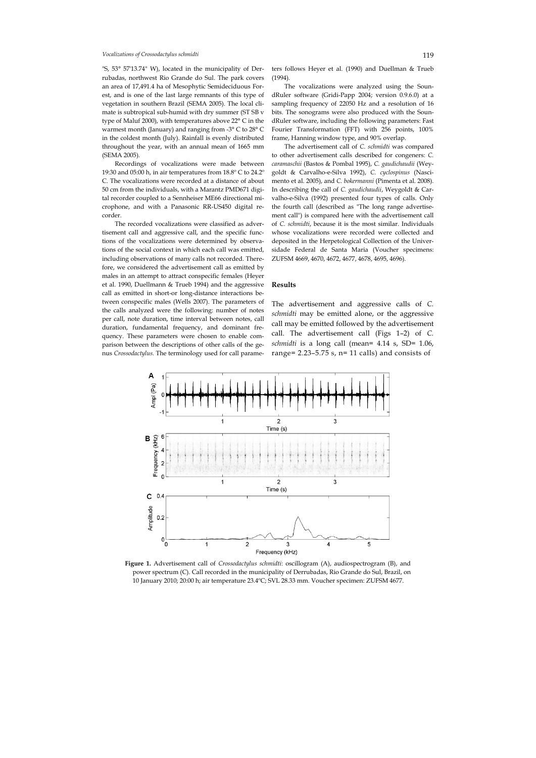## *Vocalizations of Crossodactylus schmidti* 119

"S, 53° 57'13.74" W), located in the municipality of Derrubadas, northwest Rio Grande do Sul. The park covers an area of 17,491.4 ha of Mesophytic Semideciduous Forest, and is one of the last large remnants of this type of vegetation in southern Brazil (SEMA 2005). The local climate is subtropical sub-humid with dry summer (ST SB v type of Maluf 2000), with temperatures above 22° C in the warmest month (January) and ranging from -3° C to 28° C in the coldest month (July). Rainfall is evenly distributed throughout the year, with an annual mean of 1665 mm (SEMA 2005).

Recordings of vocalizations were made between 19:30 and 05:00 h, in air temperatures from 18.8º C to 24.2º C. The vocalizations were recorded at a distance of about 50 cm from the individuals, with a Marantz PMD671 digital recorder coupled to a Sennheiser ME66 directional microphone, and with a Panasonic RR-US450 digital recorder.

The recorded vocalizations were classified as advertisement call and aggressive call, and the specific functions of the vocalizations were determined by observations of the social context in which each call was emitted, including observations of many calls not recorded. Therefore, we considered the advertisement call as emitted by males in an attempt to attract conspecific females (Heyer et al. 1990, Duellmann & Trueb 1994) and the aggressive call as emitted in short-or long-distance interactions between conspecific males (Wells 2007). The parameters of the calls analyzed were the following: number of notes per call, note duration, time interval between notes, call duration, fundamental frequency, and dominant frequency. These parameters were chosen to enable comparison between the descriptions of other calls of the genus *Crossodactylus.* The terminology used for call parameters follows Heyer et al. (1990) and Duellman & Trueb  $(1994)$ 

The vocalizations were analyzed using the SoundRuler software (Gridi-Papp 2004; version 0.9.6.0) at a sampling frequency of 22050 Hz and a resolution of 16 bits. The sonograms were also produced with the SoundRuler software, including the following parameters: Fast Fourier Transformation (FFT) with 256 points, 100% frame, Hanning window type, and 90% overlap.

The advertisement call of *C. schmidti* was compared to other advertisement calls described for congeners: *C. caramaschii* (Bastos & Pombal 1995), *C. gaudichaudii* (Weygoldt & Carvalho-e-Silva 1992), *C. cyclospinus* (Nascimento et al. 2005), and *C. bokermanni* (Pimenta et al. 2008). In describing the call of *C. gaudichaudii*, Weygoldt & Carvalho-e-Silva (1992) presented four types of calls. Only the fourth call (described as "The long range advertisement call") is compared here with the advertisement call of *C. schmidti*, because it is the most similar. Individuals whose vocalizations were recorded were collected and deposited in the Herpetological Collection of the Universidade Federal de Santa Maria (Voucher specimens: ZUFSM 4669, 4670, 4672, 4677, 4678, 4695, 4696).

## **Results**

The advertisement and aggressive calls of *C. schmidti* may be emitted alone, or the aggressive call may be emitted followed by the advertisement call. The advertisement call (Figs 1–2) of *C. schmidti* is a long call (mean= 4.14 s, SD= 1.06, range=  $2.23-5.75$  s, n= 11 calls) and consists of



**Figure 1.** Advertisement call of *Crossodactylus schmidti*: oscillogram (A), audiospectrogram (B), and power spectrum (C). Call recorded in the municipality of Derrubadas, Rio Grande do Sul, Brazil, on 10 January 2010; 20:00 h; air temperature 23.4ºC; SVL 28.33 mm. Voucher specimen: ZUFSM 4677.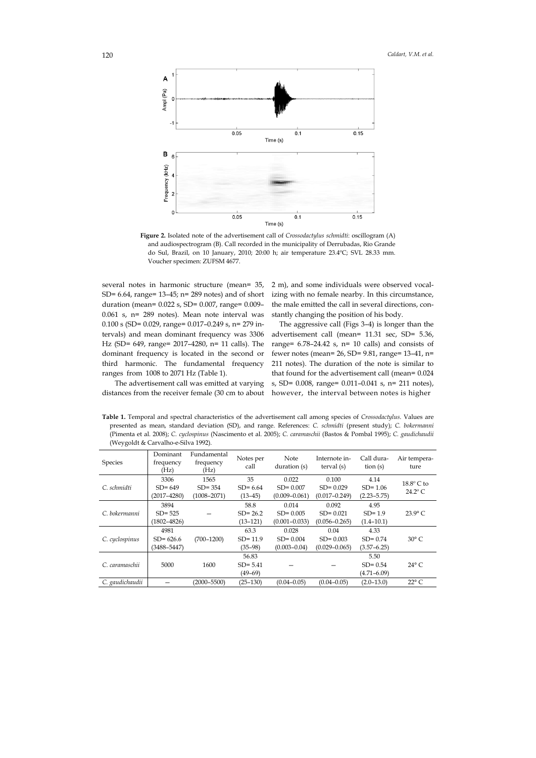

**Figure 2.** Isolated note of the advertisement call of *Crossodactylus schmidti*: oscillogram (A) and audiospectrogram (B). Call recorded in the municipality of Derrubadas, Rio Grande do Sul, Brazil, on 10 January, 2010; 20:00 h; air temperature 23.4ºC; SVL 28.33 mm. Voucher specimen: ZUFSM 4677.

several notes in harmonic structure (mean= 35, SD= 6.64, range= 13–45; n= 289 notes) and of short duration (mean= 0.022 s, SD= 0.007, range= 0.009– 0.061 s, n= 289 notes). Mean note interval was 0.100 s (SD= 0.029, range= 0.017–0.249 s, n= 279 intervals) and mean dominant frequency was 3306 Hz (SD= 649, range= 2017–4280, n= 11 calls). The dominant frequency is located in the second or third harmonic. The fundamental frequency ranges from 1008 to 2071 Hz (Table 1).

2 m), and some individuals were observed vocalizing with no female nearby. In this circumstance, the male emitted the call in several directions, constantly changing the position of his body.

The aggressive call (Figs 3–4) is longer than the advertisement call (mean= 11.31 sec, SD= 5.36, range= 6.78–24.42 s, n= 10 calls) and consists of fewer notes (mean= $26$ , SD= $9.81$ , range= $13-41$ , n= 211 notes). The duration of the note is similar to that found for the advertisement call (mean= 0.024 s, SD= 0.008, range= 0.011–0.041 s, n= 211 notes), however, the interval between notes is higher

The advertisement call was emitted at varying distances from the receiver female (30 cm to about

**Table 1.** Temporal and spectral characteristics of the advertisement call among species of *Crossodactylus*. Values are presented as mean, standard deviation (SD), and range. References: *C. schmidti* (present study); *C. bokermanni* (Pimenta et al. 2008); *C. cyclospinus* (Nascimento et al. 2005); *C. caramaschii* (Bastos & Pombal 1995); *C. gaudichaudii* (Weygoldt & Carvalho-e-Silva 1992).

| Species         | Dominant<br>frequency<br>(Hz)           | Fundamental<br>frequency<br>(Hz)      | Notes per<br>call                 | Note<br>duration (s)                       | Internote in-<br>terval (s)                | Call dura-<br>$\frac{\text{tion}}{\text{}}$ (s) | Air tempera-<br>ture                  |
|-----------------|-----------------------------------------|---------------------------------------|-----------------------------------|--------------------------------------------|--------------------------------------------|-------------------------------------------------|---------------------------------------|
| C. schmidti     | 3306<br>$SD = 649$<br>$(2017 - 4280)$   | 1565<br>$SD = 354$<br>$(1008 - 2071)$ | 35<br>$SD = 6.64$<br>$(13-45)$    | 0.022<br>$SD = 0.007$<br>$(0.009 - 0.061)$ | 0.100<br>$SD = 0.029$<br>$(0.017 - 0.249)$ | 4.14<br>$SD = 1.06$<br>$(2.23 - 5.75)$          | $18.8^\circ$ C to<br>$24.2^{\circ}$ C |
| C. bokermanni   | 3894<br>$SD = 525$<br>$(1802 - 4826)$   |                                       | 58.8<br>$SD = 26.2$<br>$(13-121)$ | 0.014<br>$SD = 0.005$<br>$(0.001 - 0.033)$ | 0.092<br>$SD = 0.021$<br>$(0.056 - 0.265)$ | 4.95<br>$SD = 1.9$<br>$(1.4 - 10.1)$            | $23.9^{\circ}$ C                      |
| C. cyclospinus  | 4981<br>$SD = 626.6$<br>$(3488 - 5447)$ | $(700 - 1200)$                        | 63.3<br>$SD = 11.9$<br>$(35-98)$  | 0.028<br>$SD = 0.004$<br>$(0.003 - 0.04)$  | 0.04<br>$SD = 0.003$<br>$(0.029 - 0.065)$  | 4.33<br>$SD = 0.74$<br>$(3.57 - 6.25)$          | $30^{\circ}$ C                        |
| C. caramaschii  | 5000                                    | 1600                                  | 56.83<br>$SD = 5.41$<br>$(49-69)$ |                                            |                                            | 5.50<br>$SD = 0.54$<br>$(4.71 - 6.09)$          | $24^{\circ}$ C                        |
| C. gaudichaudii |                                         | $(2000 - 5500)$                       | $(25-130)$                        | $(0.04 - 0.05)$                            | $(0.04 - 0.05)$                            | $(2.0 - 13.0)$                                  | $22^{\circ}$ C                        |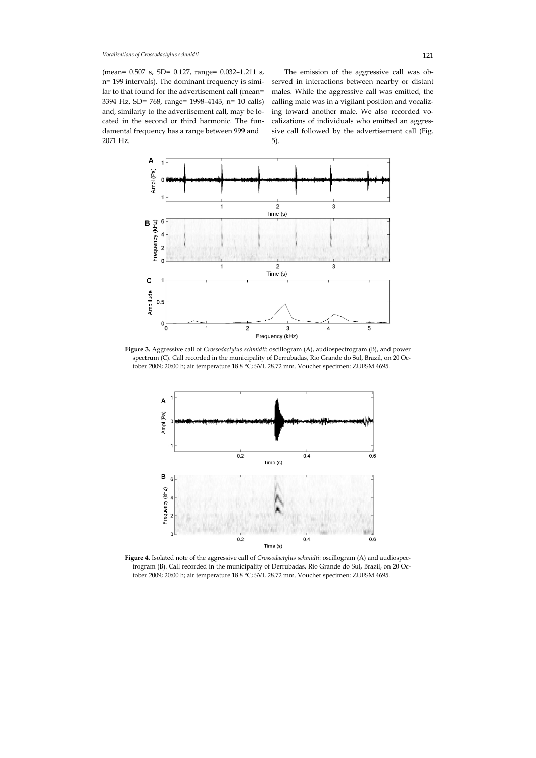*Vocalizations of Crossodactylus schmidti* 121

(mean= 0.507 s, SD= 0.127, range= 0.032–1.211 s, n= 199 intervals). The dominant frequency is similar to that found for the advertisement call (mean= 3394 Hz, SD= 768, range= 1998–4143, n= 10 calls) and, similarly to the advertisement call, may be located in the second or third harmonic. The fundamental frequency has a range between 999 and 2071 Hz.

The emission of the aggressive call was observed in interactions between nearby or distant males. While the aggressive call was emitted, the calling male was in a vigilant position and vocalizing toward another male. We also recorded vocalizations of individuals who emitted an aggressive call followed by the advertisement call (Fig. 5).



**Figure 3.** Aggressive call of *Crossodactylus schmidti*: oscillogram (A), audiospectrogram (B), and power spectrum (C). Call recorded in the municipality of Derrubadas, Rio Grande do Sul, Brazil, on 20 October 2009; 20:00 h; air temperature 18.8 ºC; SVL 28.72 mm. Voucher specimen: ZUFSM 4695.



**Figure 4**. Isolated note of the aggressive call of *Crossodactylus schmidti*: oscillogram (A) and audiospectrogram (B). Call recorded in the municipality of Derrubadas, Rio Grande do Sul, Brazil, on 20 October 2009; 20:00 h; air temperature 18.8 ºC; SVL 28.72 mm. Voucher specimen: ZUFSM 4695.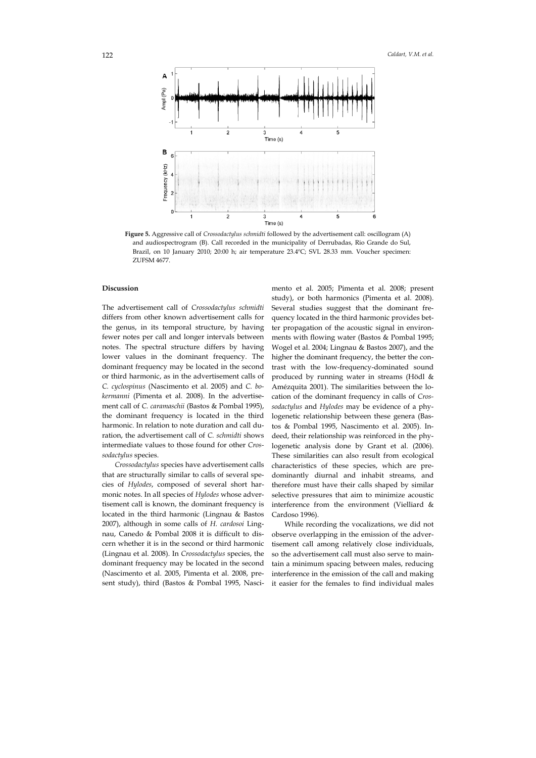

**Figure 5.** Aggressive call of *Crossodactylus schmidti* followed by the advertisement call: oscillogram (A) and audiospectrogram (B). Call recorded in the municipality of Derrubadas, Rio Grande do Sul, Brazil, on 10 January 2010; 20:00 h; air temperature 23.4ºC; SVL 28.33 mm. Voucher specimen: ZUFSM 4677.

# **Discussion**

The advertisement call of *Crossodactylus schmidti* differs from other known advertisement calls for the genus, in its temporal structure, by having fewer notes per call and longer intervals between notes. The spectral structure differs by having lower values in the dominant frequency. The dominant frequency may be located in the second or third harmonic, as in the advertisement calls of *C. cyclospinus* (Nascimento et al. 2005) and *C. bokermanni* (Pimenta et al. 2008). In the advertisement call of *C. caramaschii* (Bastos & Pombal 1995), the dominant frequency is located in the third harmonic. In relation to note duration and call duration, the advertisement call of *C. schmidti* shows intermediate values to those found for other *Crossodactylus* species.

*Crossodactylus* species have advertisement calls that are structurally similar to calls of several species of *Hylodes*, composed of several short harmonic notes. In all species of *Hylodes* whose advertisement call is known, the dominant frequency is located in the third harmonic (Lingnau & Bastos 2007), although in some calls of *H. cardosoi* Lingnau, Canedo & Pombal 2008 it is difficult to discern whether it is in the second or third harmonic (Lingnau et al. 2008). In *Crossodactylus* species, the dominant frequency may be located in the second (Nascimento et al. 2005, Pimenta et al. 2008, present study), third (Bastos & Pombal 1995, Nascimento et al. 2005; Pimenta et al. 2008; present study), or both harmonics (Pimenta et al. 2008). Several studies suggest that the dominant frequency located in the third harmonic provides better propagation of the acoustic signal in environments with flowing water (Bastos & Pombal 1995; Wogel et al. 2004; Lingnau & Bastos 2007), and the higher the dominant frequency, the better the contrast with the low-frequency-dominated sound produced by running water in streams (Hödl & Amézquita 2001). The similarities between the location of the dominant frequency in calls of *Crossodactylus* and *Hylodes* may be evidence of a phylogenetic relationship between these genera (Bastos & Pombal 1995, Nascimento et al. 2005). Indeed, their relationship was reinforced in the phylogenetic analysis done by Grant et al. (2006). These similarities can also result from ecological characteristics of these species, which are predominantly diurnal and inhabit streams, and therefore must have their calls shaped by similar selective pressures that aim to minimize acoustic interference from the environment (Vielliard & Cardoso 1996).

While recording the vocalizations, we did not observe overlapping in the emission of the advertisement call among relatively close individuals, so the advertisement call must also serve to maintain a minimum spacing between males, reducing interference in the emission of the call and making it easier for the females to find individual males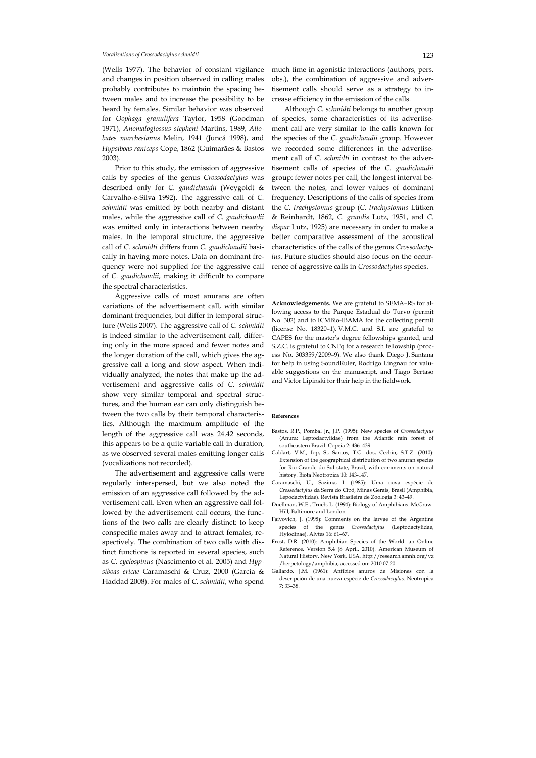### *Vocalizations of Crossodactylus schmidti* 123

(Wells 1977). The behavior of constant vigilance and changes in position observed in calling males probably contributes to maintain the spacing between males and to increase the possibility to be heard by females. Similar behavior was observed for *Oophaga granulifera* Taylor, 1958 (Goodman 1971), *Anomaloglossus stepheni* Martins, 1989, *Allobates marchesianus* Melin, 1941 (Juncá 1998), and *Hypsiboas raniceps* Cope, 1862 (Guimarães & Bastos 2003).

Prior to this study, the emission of aggressive calls by species of the genus *Crossodactylus* was described only for *C. gaudichaudii* (Weygoldt & Carvalho-e-Silva 1992). The aggressive call of *C. schmidti* was emitted by both nearby and distant males, while the aggressive call of *C. gaudichaudii* was emitted only in interactions between nearby males. In the temporal structure, the aggressive call of *C. schmidti* differs from *C. gaudichaudii* basically in having more notes. Data on dominant frequency were not supplied for the aggressive call of *C. gaudichaudii*, making it difficult to compare the spectral characteristics.

Aggressive calls of most anurans are often variations of the advertisement call, with similar dominant frequencies, but differ in temporal structure (Wells 2007). The aggressive call of *C. schmidti* is indeed similar to the advertisement call, differing only in the more spaced and fewer notes and the longer duration of the call, which gives the aggressive call a long and slow aspect. When individually analyzed, the notes that make up the advertisement and aggressive calls of *C. schmidti* show very similar temporal and spectral structures, and the human ear can only distinguish between the two calls by their temporal characteristics. Although the maximum amplitude of the length of the aggressive call was 24.42 seconds, this appears to be a quite variable call in duration, as we observed several males emitting longer calls (vocalizations not recorded).

The advertisement and aggressive calls were regularly interspersed, but we also noted the emission of an aggressive call followed by the advertisement call. Even when an aggressive call followed by the advertisement call occurs, the functions of the two calls are clearly distinct: to keep conspecific males away and to attract females, respectively. The combination of two calls with distinct functions is reported in several species, such as *C. cyclospinus* (Nascimento et al. 2005) and *Hypsiboas ericae* Caramaschi & Cruz, 2000 (Garcia & Haddad 2008). For males of *C. schmidti*, who spend much time in agonistic interactions (authors, pers. obs.), the combination of aggressive and advertisement calls should serve as a strategy to increase efficiency in the emission of the calls.

Although *C. schmidti* belongs to another group of species, some characteristics of its advertisement call are very similar to the calls known for the species of the *C. gaudichaudii* group. However we recorded some differences in the advertisement call of *C. schmidti* in contrast to the advertisement calls of species of the *C. gaudichaudii* group: fewer notes per call, the longest interval between the notes, and lower values of dominant frequency. Descriptions of the calls of species from the *C. trachystomus* group (*C. trachystomus* Lütken & Reinhardt, 1862, *C. grandis* Lutz, 1951, and *C. dispar* Lutz, 1925) are necessary in order to make a better comparative assessment of the acoustical characteristics of the calls of the genus *Crossodactylus*. Future studies should also focus on the occurrence of aggressive calls in *Crossodactylus* species.

**Acknowledgements.** We are grateful to SEMA–RS for allowing access to the Parque Estadual do Turvo (permit No. 302) and to ICMBio-IBAMA for the collecting permit (license No. 18320–1). V.M.C. and S.I. are grateful to CAPES for the master's degree fellowships granted, and S.Z.C. is grateful to CNPq for a research fellowship (process No. 303359/2009–9). We also thank Diego J. Santana for help in using SoundRuler, Rodrigo Lingnau for valuable suggestions on the manuscript, and Tiago Bertaso and Victor Lipinski for their help in the fieldwork.

#### **References**

- Bastos, R.P., Pombal Jr., J.P. (1995): New species of *Crossodactylus* (Anura: Leptodactylidae) from the Atlantic rain forest of southeastern Brazil. Copeia 2: 436–439.
- Caldart, V.M., Iop, S., Santos, T.G. dos, Cechin, S.T.Z. (2010): Extension of the geographical distribution of two anuran species for Rio Grande do Sul state, Brazil, with comments on natural history. Biota Neotropica 10: 143-147.
- Caramaschi, U., Sazima, I. (1985): Uma nova espécie de *Crossodactylus* da Serra do Cipó, Minas Gerais, Brasil (Amphibia, Lepodactylidae). Revista Brasileira de Zoologia 3: 43–49.
- Duellman, W.E., Trueb, L. (1994): Biology of Amphibians. McGraw-Hill, Baltimore and London.
- Faivovich, J. (1998): Comments on the larvae of the Argentine species of the genus *Crossodactylus* (Leptodactylidae, Hylodinae). Alytes 16: 61–67.
- Frost, D.R. (2010): Amphibian Species of the World: an Online Reference. Version 5.4 (8 April, 2010). American Museum of Natural History, New York, USA. http://research.amnh.org/vz /herpetology/amphibia, accessed on: 2010.07.20.
- Gallardo, J.M. (1961): Anfibios anuros de Misiones con la descripción de una nueva espécie de *Crossodactylus*. Neotropica 7: 33–38.